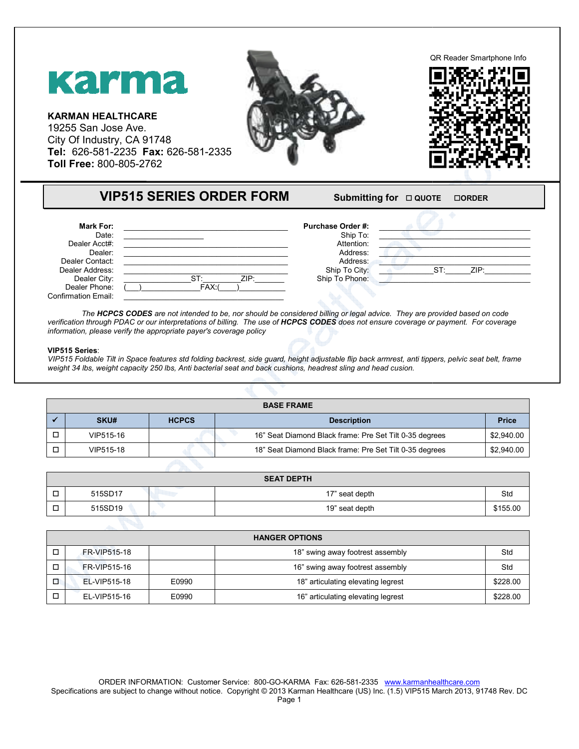

| <b>Mark For:</b>           |             | <b>Purchase Order #:</b> |                |
|----------------------------|-------------|--------------------------|----------------|
| Date:                      |             | Ship To:                 |                |
| Dealer Acct#:              |             | Attention:               |                |
| Dealer:                    |             | Address:                 |                |
| Dealer Contact:            |             | Address:                 |                |
| Dealer Address:            |             | Ship To City:            | ZIP:<br>$ST^r$ |
| Dealer City:               | ZIP:<br>ST۰ | Ship To Phone:           |                |
| Dealer Phone:              | FAX:        |                          |                |
| <b>Confirmation Email:</b> |             |                          |                |

The **HCPCS CODES** are not intended to be, nor should be considered billing or legal advice. They are provided based on code The **HCPCS CODES** are not intended to be, nor should be considered billing or legal advice. They are provided based on code<br>verification through PDAC or our interpretations of billing. The use of **HCPCS CODES** does not ens *information, please verify the appropriate payer's coverage policy* 

## **VIP515 Series**:

VIP515 Foldable Tilt in Space features std folding backrest, side guard, height adjustable flip back armrest, anti tippers, pelvic seat belt, frame weight 34 lbs, weight capacity 250 lbs, Anti bacterial seat and back cushions, headrest sling and head cusion.

| <b>BASE FRAME</b> |           |              |                                                         |              |  |
|-------------------|-----------|--------------|---------------------------------------------------------|--------------|--|
|                   | SKU#      | <b>HCPCS</b> | <b>Description</b>                                      | <b>Price</b> |  |
|                   | VIP515-16 |              | 16" Seat Diamond Black frame: Pre Set Tilt 0-35 degrees | \$2,940.00   |  |
|                   | VIP515-18 |              | 18" Seat Diamond Black frame: Pre Set Tilt 0-35 degrees | \$2,940.00   |  |

|        | <b>SEAT DEPTH</b> |  |                |          |  |
|--------|-------------------|--|----------------|----------|--|
| -<br>− | 515SD17           |  | 17" seat depth | Std      |  |
| −      | 515SD19           |  | 19" seat depth | \$155.00 |  |

| <b>HANGER OPTIONS</b> |              |       |                                    |          |
|-----------------------|--------------|-------|------------------------------------|----------|
|                       | FR-VIP515-18 |       | 18" swing away footrest assembly   | Std      |
|                       | FR-VIP515-16 |       | 16" swing away footrest assembly   | Std      |
|                       | EL-VIP515-18 | E0990 | 18" articulating elevating legrest | \$228.00 |
|                       | EL-VIP515-16 | E0990 | 16" articulating elevating legrest | \$228.00 |